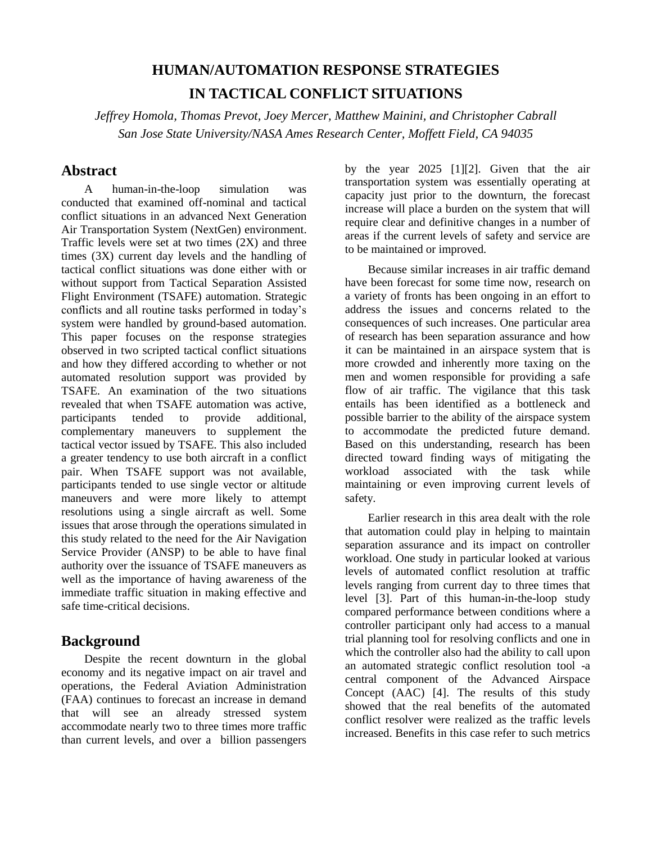# **HUMAN/AUTOMATION RESPONSE STRATEGIES IN TACTICAL CONFLICT SITUATIONS**

*Jeffrey Homola, Thomas Prevot, Joey Mercer, Matthew Mainini, and Christopher Cabrall San Jose State University/NASA Ames Research Center, Moffett Field, CA 94035*

## **Abstract**

A human-in-the-loop simulation was conducted that examined off-nominal and tactical conflict situations in an advanced Next Generation Air Transportation System (NextGen) environment. Traffic levels were set at two times (2X) and three times (3X) current day levels and the handling of tactical conflict situations was done either with or without support from Tactical Separation Assisted Flight Environment (TSAFE) automation. Strategic conflicts and all routine tasks performed in today's system were handled by ground-based automation. This paper focuses on the response strategies observed in two scripted tactical conflict situations and how they differed according to whether or not automated resolution support was provided by TSAFE. An examination of the two situations revealed that when TSAFE automation was active, participants tended to provide additional, complementary maneuvers to supplement the tactical vector issued by TSAFE. This also included a greater tendency to use both aircraft in a conflict pair. When TSAFE support was not available, participants tended to use single vector or altitude maneuvers and were more likely to attempt resolutions using a single aircraft as well. Some issues that arose through the operations simulated in this study related to the need for the Air Navigation Service Provider (ANSP) to be able to have final authority over the issuance of TSAFE maneuvers as well as the importance of having awareness of the immediate traffic situation in making effective and safe time-critical decisions.

# **Background**

Despite the recent downturn in the global economy and its negative impact on air travel and operations, the Federal Aviation Administration (FAA) continues to forecast an increase in demand that will see an already stressed system accommodate nearly two to three times more traffic than current levels, and over a billion passengers

by the year 2025 [1][2]. Given that the air transportation system was essentially operating at capacity just prior to the downturn, the forecast increase will place a burden on the system that will require clear and definitive changes in a number of areas if the current levels of safety and service are to be maintained or improved.

Because similar increases in air traffic demand have been forecast for some time now, research on a variety of fronts has been ongoing in an effort to address the issues and concerns related to the consequences of such increases. One particular area of research has been separation assurance and how it can be maintained in an airspace system that is more crowded and inherently more taxing on the men and women responsible for providing a safe flow of air traffic. The vigilance that this task entails has been identified as a bottleneck and possible barrier to the ability of the airspace system to accommodate the predicted future demand. Based on this understanding, research has been directed toward finding ways of mitigating the workload associated with the task while maintaining or even improving current levels of safety.

Earlier research in this area dealt with the role that automation could play in helping to maintain separation assurance and its impact on controller workload. One study in particular looked at various levels of automated conflict resolution at traffic levels ranging from current day to three times that level [3]. Part of this human-in-the-loop study compared performance between conditions where a controller participant only had access to a manual trial planning tool for resolving conflicts and one in which the controller also had the ability to call upon an automated strategic conflict resolution tool -a central component of the Advanced Airspace Concept (AAC) [4]. The results of this study showed that the real benefits of the automated conflict resolver were realized as the traffic levels increased. Benefits in this case refer to such metrics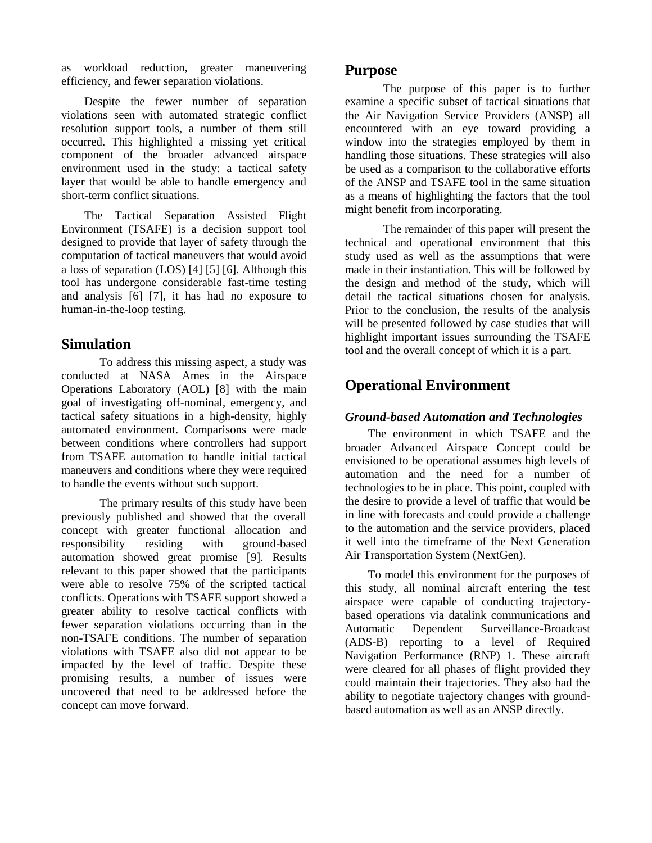as workload reduction, greater maneuvering efficiency, and fewer separation violations.

Despite the fewer number of separation violations seen with automated strategic conflict resolution support tools, a number of them still occurred. This highlighted a missing yet critical component of the broader advanced airspace environment used in the study: a tactical safety layer that would be able to handle emergency and short-term conflict situations.

The Tactical Separation Assisted Flight Environment (TSAFE) is a decision support tool designed to provide that layer of safety through the computation of tactical maneuvers that would avoid a loss of separation (LOS) [4] [5] [6]. Although this tool has undergone considerable fast-time testing and analysis [6] [7], it has had no exposure to human-in-the-loop testing.

# **Simulation**

To address this missing aspect, a study was conducted at NASA Ames in the Airspace Operations Laboratory (AOL) [8] with the main goal of investigating off-nominal, emergency, and tactical safety situations in a high-density, highly automated environment. Comparisons were made between conditions where controllers had support from TSAFE automation to handle initial tactical maneuvers and conditions where they were required to handle the events without such support.

The primary results of this study have been previously published and showed that the overall concept with greater functional allocation and responsibility residing with ground-based automation showed great promise [9]. Results relevant to this paper showed that the participants were able to resolve 75% of the scripted tactical conflicts. Operations with TSAFE support showed a greater ability to resolve tactical conflicts with fewer separation violations occurring than in the non-TSAFE conditions. The number of separation violations with TSAFE also did not appear to be impacted by the level of traffic. Despite these promising results, a number of issues were uncovered that need to be addressed before the concept can move forward.

### **Purpose**

The purpose of this paper is to further examine a specific subset of tactical situations that the Air Navigation Service Providers (ANSP) all encountered with an eye toward providing a window into the strategies employed by them in handling those situations. These strategies will also be used as a comparison to the collaborative efforts of the ANSP and TSAFE tool in the same situation as a means of highlighting the factors that the tool might benefit from incorporating.

The remainder of this paper will present the technical and operational environment that this study used as well as the assumptions that were made in their instantiation. This will be followed by the design and method of the study, which will detail the tactical situations chosen for analysis. Prior to the conclusion, the results of the analysis will be presented followed by case studies that will highlight important issues surrounding the TSAFE tool and the overall concept of which it is a part.

# **Operational Environment**

### *Ground-based Automation and Technologies*

The environment in which TSAFE and the broader Advanced Airspace Concept could be envisioned to be operational assumes high levels of automation and the need for a number of technologies to be in place. This point, coupled with the desire to provide a level of traffic that would be in line with forecasts and could provide a challenge to the automation and the service providers, placed it well into the timeframe of the Next Generation Air Transportation System (NextGen).

To model this environment for the purposes of this study, all nominal aircraft entering the test airspace were capable of conducting trajectorybased operations via datalink communications and Automatic Dependent Surveillance-Broadcast (ADS-B) reporting to a level of Required Navigation Performance (RNP) 1. These aircraft were cleared for all phases of flight provided they could maintain their trajectories. They also had the ability to negotiate trajectory changes with groundbased automation as well as an ANSP directly.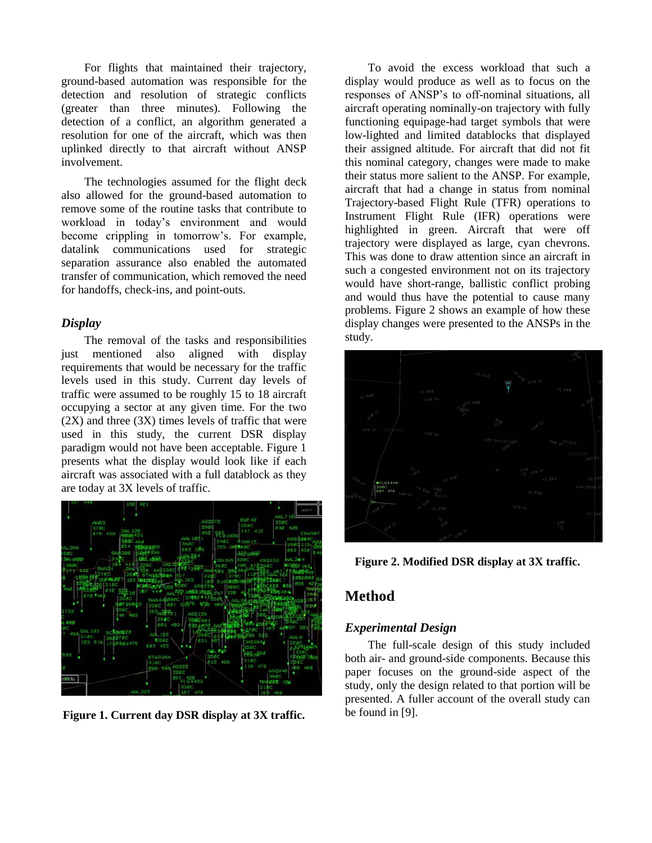For flights that maintained their trajectory, ground-based automation was responsible for the detection and resolution of strategic conflicts (greater than three minutes). Following the detection of a conflict, an algorithm generated a resolution for one of the aircraft, which was then uplinked directly to that aircraft without ANSP involvement.

The technologies assumed for the flight deck also allowed for the ground-based automation to remove some of the routine tasks that contribute to workload in today's environment and would become crippling in tomorrow's. For example, datalink communications used for strategic separation assurance also enabled the automated transfer of communication, which removed the need for handoffs, check-ins, and point-outs.

### *Display*

The removal of the tasks and responsibilities just mentioned also aligned with display requirements that would be necessary for the traffic levels used in this study. Current day levels of traffic were assumed to be roughly 15 to 18 aircraft occupying a sector at any given time. For the two (2X) and three (3X) times levels of traffic that were used in this study, the current DSR display paradigm would not have been acceptable. Figure 1 presents what the display would look like if each aircraft was associated with a full datablock as they are today at 3X levels of traffic.



**Figure 1. Current day DSR display at 3X traffic.**

To avoid the excess workload that such a display would produce as well as to focus on the responses of ANSP's to off-nominal situations, all aircraft operating nominally-on trajectory with fully functioning equipage-had target symbols that were low-lighted and limited datablocks that displayed their assigned altitude. For aircraft that did not fit this nominal category, changes were made to make their status more salient to the ANSP. For example, aircraft that had a change in status from nominal Trajectory-based Flight Rule (TFR) operations to Instrument Flight Rule (IFR) operations were highlighted in green. Aircraft that were off trajectory were displayed as large, cyan chevrons. This was done to draw attention since an aircraft in such a congested environment not on its trajectory would have short-range, ballistic conflict probing and would thus have the potential to cause many problems. Figure 2 shows an example of how these display changes were presented to the ANSPs in the study.



**Figure 2. Modified DSR display at 3X traffic.**

# **Method**

## *Experimental Design*

The full-scale design of this study included both air- and ground-side components. Because this paper focuses on the ground-side aspect of the study, only the design related to that portion will be presented. A fuller account of the overall study can be found in [9].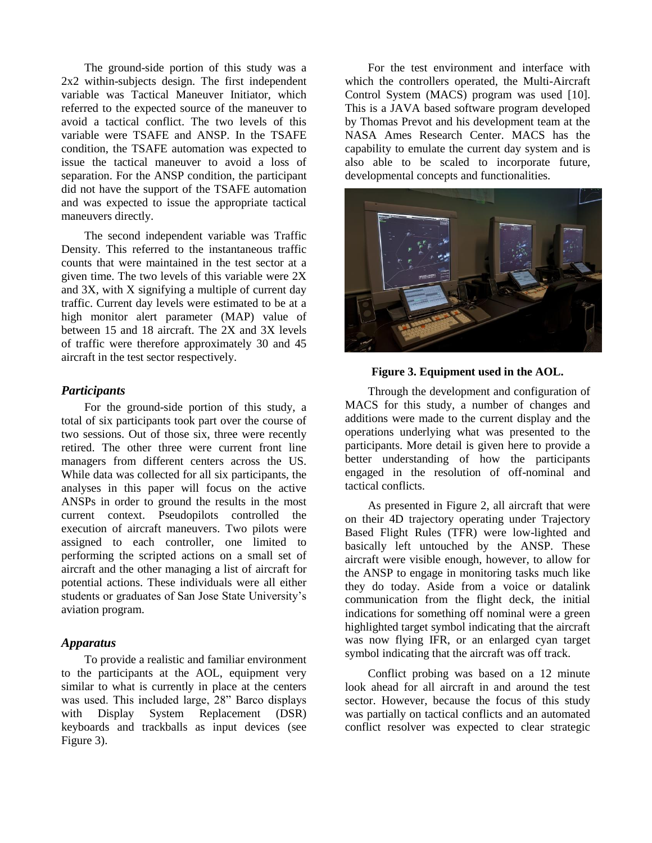The ground-side portion of this study was a 2x2 within-subjects design. The first independent variable was Tactical Maneuver Initiator, which referred to the expected source of the maneuver to avoid a tactical conflict. The two levels of this variable were TSAFE and ANSP. In the TSAFE condition, the TSAFE automation was expected to issue the tactical maneuver to avoid a loss of separation. For the ANSP condition, the participant did not have the support of the TSAFE automation and was expected to issue the appropriate tactical maneuvers directly.

The second independent variable was Traffic Density. This referred to the instantaneous traffic counts that were maintained in the test sector at a given time. The two levels of this variable were 2X and 3X, with X signifying a multiple of current day traffic. Current day levels were estimated to be at a high monitor alert parameter (MAP) value of between 15 and 18 aircraft. The 2X and 3X levels of traffic were therefore approximately 30 and 45 aircraft in the test sector respectively.

### *Participants*

For the ground-side portion of this study, a total of six participants took part over the course of two sessions. Out of those six, three were recently retired. The other three were current front line managers from different centers across the US. While data was collected for all six participants, the analyses in this paper will focus on the active ANSPs in order to ground the results in the most current context. Pseudopilots controlled the execution of aircraft maneuvers. Two pilots were assigned to each controller, one limited to performing the scripted actions on a small set of aircraft and the other managing a list of aircraft for potential actions. These individuals were all either students or graduates of San Jose State University's aviation program.

#### *Apparatus*

To provide a realistic and familiar environment to the participants at the AOL, equipment very similar to what is currently in place at the centers was used. This included large, 28" Barco displays with Display System Replacement (DSR) keyboards and trackballs as input devices (see Figure 3).

For the test environment and interface with which the controllers operated, the Multi-Aircraft Control System (MACS) program was used [10]. This is a JAVA based software program developed by Thomas Prevot and his development team at the NASA Ames Research Center. MACS has the capability to emulate the current day system and is also able to be scaled to incorporate future, developmental concepts and functionalities.



**Figure 3. Equipment used in the AOL.**

Through the development and configuration of MACS for this study, a number of changes and additions were made to the current display and the operations underlying what was presented to the participants. More detail is given here to provide a better understanding of how the participants engaged in the resolution of off-nominal and tactical conflicts.

As presented in Figure 2, all aircraft that were on their 4D trajectory operating under Trajectory Based Flight Rules (TFR) were low-lighted and basically left untouched by the ANSP. These aircraft were visible enough, however, to allow for the ANSP to engage in monitoring tasks much like they do today. Aside from a voice or datalink communication from the flight deck, the initial indications for something off nominal were a green highlighted target symbol indicating that the aircraft was now flying IFR, or an enlarged cyan target symbol indicating that the aircraft was off track.

Conflict probing was based on a 12 minute look ahead for all aircraft in and around the test sector. However, because the focus of this study was partially on tactical conflicts and an automated conflict resolver was expected to clear strategic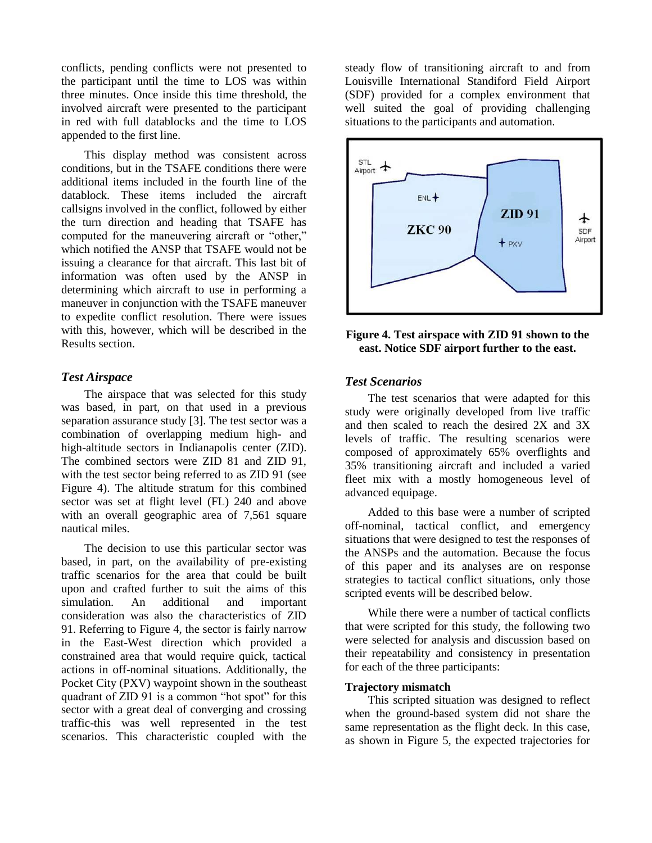conflicts, pending conflicts were not presented to the participant until the time to LOS was within three minutes. Once inside this time threshold, the involved aircraft were presented to the participant in red with full datablocks and the time to LOS appended to the first line.

This display method was consistent across conditions, but in the TSAFE conditions there were additional items included in the fourth line of the datablock. These items included the aircraft callsigns involved in the conflict, followed by either the turn direction and heading that TSAFE has computed for the maneuvering aircraft or "other," which notified the ANSP that TSAFE would not be issuing a clearance for that aircraft. This last bit of information was often used by the ANSP in determining which aircraft to use in performing a maneuver in conjunction with the TSAFE maneuver to expedite conflict resolution. There were issues with this, however, which will be described in the Results section.

### *Test Airspace*

The airspace that was selected for this study was based, in part, on that used in a previous separation assurance study [3]. The test sector was a combination of overlapping medium high- and high-altitude sectors in Indianapolis center (ZID). The combined sectors were ZID 81 and ZID 91, with the test sector being referred to as ZID 91 (see Figure 4). The altitude stratum for this combined sector was set at flight level (FL) 240 and above with an overall geographic area of 7,561 square nautical miles.

The decision to use this particular sector was based, in part, on the availability of pre-existing traffic scenarios for the area that could be built upon and crafted further to suit the aims of this simulation. An additional and important consideration was also the characteristics of ZID 91. Referring to Figure 4, the sector is fairly narrow in the East-West direction which provided a constrained area that would require quick, tactical actions in off-nominal situations. Additionally, the Pocket City (PXV) waypoint shown in the southeast quadrant of ZID 91 is a common "hot spot" for this sector with a great deal of converging and crossing traffic-this was well represented in the test scenarios. This characteristic coupled with the

steady flow of transitioning aircraft to and from Louisville International Standiford Field Airport (SDF) provided for a complex environment that well suited the goal of providing challenging situations to the participants and automation.



**Figure 4. Test airspace with ZID 91 shown to the east. Notice SDF airport further to the east.**

#### *Test Scenarios*

The test scenarios that were adapted for this study were originally developed from live traffic and then scaled to reach the desired 2X and 3X levels of traffic. The resulting scenarios were composed of approximately 65% overflights and 35% transitioning aircraft and included a varied fleet mix with a mostly homogeneous level of advanced equipage.

Added to this base were a number of scripted off-nominal, tactical conflict, and emergency situations that were designed to test the responses of the ANSPs and the automation. Because the focus of this paper and its analyses are on response strategies to tactical conflict situations, only those scripted events will be described below.

While there were a number of tactical conflicts that were scripted for this study, the following two were selected for analysis and discussion based on their repeatability and consistency in presentation for each of the three participants:

### **Trajectory mismatch**

This scripted situation was designed to reflect when the ground-based system did not share the same representation as the flight deck. In this case, as shown in Figure 5, the expected trajectories for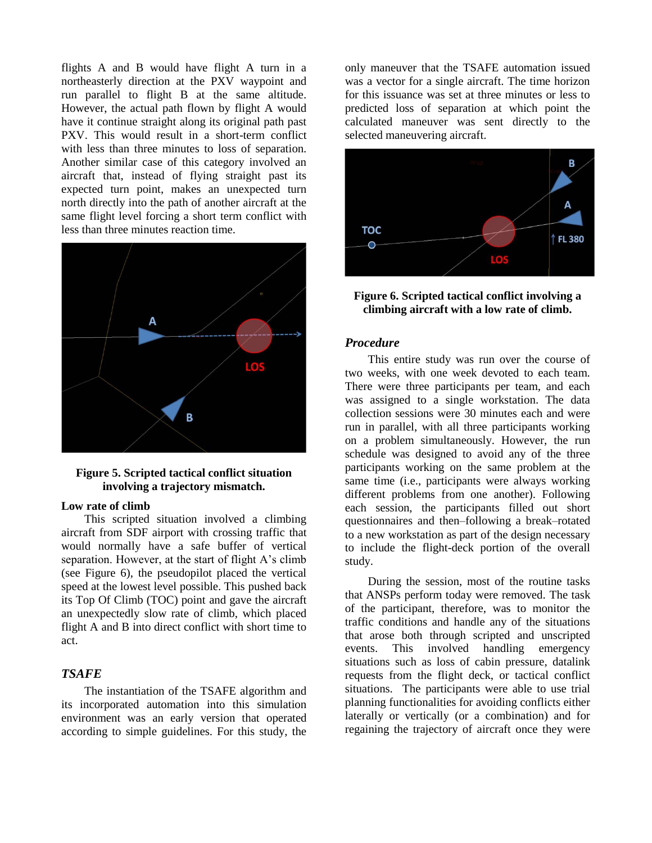flights A and B would have flight A turn in a northeasterly direction at the PXV waypoint and run parallel to flight B at the same altitude. However, the actual path flown by flight A would have it continue straight along its original path past PXV. This would result in a short-term conflict with less than three minutes to loss of separation. Another similar case of this category involved an aircraft that, instead of flying straight past its expected turn point, makes an unexpected turn north directly into the path of another aircraft at the same flight level forcing a short term conflict with less than three minutes reaction time.



**Figure 5. Scripted tactical conflict situation involving a trajectory mismatch.**

### **Low rate of climb**

This scripted situation involved a climbing aircraft from SDF airport with crossing traffic that would normally have a safe buffer of vertical separation. However, at the start of flight A's climb (see Figure 6), the pseudopilot placed the vertical speed at the lowest level possible. This pushed back its Top Of Climb (TOC) point and gave the aircraft an unexpectedly slow rate of climb, which placed flight A and B into direct conflict with short time to act.

### *TSAFE*

The instantiation of the TSAFE algorithm and its incorporated automation into this simulation environment was an early version that operated according to simple guidelines. For this study, the

only maneuver that the TSAFE automation issued was a vector for a single aircraft. The time horizon for this issuance was set at three minutes or less to predicted loss of separation at which point the calculated maneuver was sent directly to the selected maneuvering aircraft.



**Figure 6. Scripted tactical conflict involving a climbing aircraft with a low rate of climb.**

#### *Procedure*

This entire study was run over the course of two weeks, with one week devoted to each team. There were three participants per team, and each was assigned to a single workstation. The data collection sessions were 30 minutes each and were run in parallel, with all three participants working on a problem simultaneously. However, the run schedule was designed to avoid any of the three participants working on the same problem at the same time (i.e., participants were always working different problems from one another). Following each session, the participants filled out short questionnaires and then–following a break–rotated to a new workstation as part of the design necessary to include the flight-deck portion of the overall study.

During the session, most of the routine tasks that ANSPs perform today were removed. The task of the participant, therefore, was to monitor the traffic conditions and handle any of the situations that arose both through scripted and unscripted events. This involved handling emergency situations such as loss of cabin pressure, datalink requests from the flight deck, or tactical conflict situations. The participants were able to use trial planning functionalities for avoiding conflicts either laterally or vertically (or a combination) and for regaining the trajectory of aircraft once they were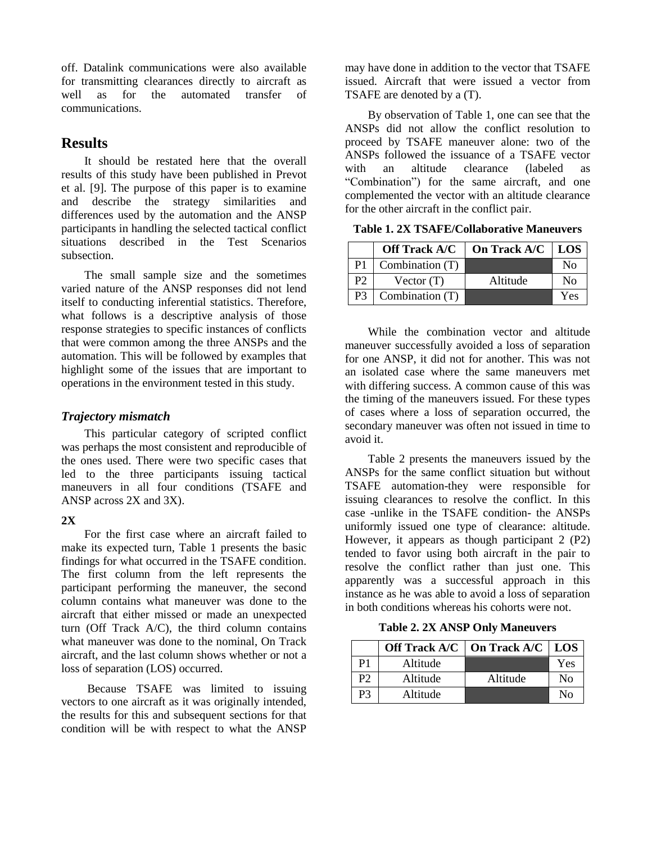off. Datalink communications were also available for transmitting clearances directly to aircraft as well as for the automated transfer of communications.

### **Results**

It should be restated here that the overall results of this study have been published in Prevot et al. [9]. The purpose of this paper is to examine and describe the strategy similarities and differences used by the automation and the ANSP participants in handling the selected tactical conflict situations described in the Test Scenarios subsection.

The small sample size and the sometimes varied nature of the ANSP responses did not lend itself to conducting inferential statistics. Therefore, what follows is a descriptive analysis of those response strategies to specific instances of conflicts that were common among the three ANSPs and the automation. This will be followed by examples that highlight some of the issues that are important to operations in the environment tested in this study.

### *Trajectory mismatch*

This particular category of scripted conflict was perhaps the most consistent and reproducible of the ones used. There were two specific cases that led to the three participants issuing tactical maneuvers in all four conditions (TSAFE and ANSP across 2X and 3X).

#### **2X**

For the first case where an aircraft failed to make its expected turn, Table 1 presents the basic findings for what occurred in the TSAFE condition. The first column from the left represents the participant performing the maneuver, the second column contains what maneuver was done to the aircraft that either missed or made an unexpected turn (Off Track A/C), the third column contains what maneuver was done to the nominal, On Track aircraft, and the last column shows whether or not a loss of separation (LOS) occurred.

Because TSAFE was limited to issuing vectors to one aircraft as it was originally intended, the results for this and subsequent sections for that condition will be with respect to what the ANSP may have done in addition to the vector that TSAFE issued. Aircraft that were issued a vector from TSAFE are denoted by a (T).

By observation of Table 1, one can see that the ANSPs did not allow the conflict resolution to proceed by TSAFE maneuver alone: two of the ANSPs followed the issuance of a TSAFE vector with an altitude clearance (labeled as "Combination") for the same aircraft, and one complemented the vector with an altitude clearance for the other aircraft in the conflict pair.

**Table 1. 2X TSAFE/Collaborative Maneuvers**

|    | <b>Off Track A/C</b> | On Track A/C | <b>LOS</b> |
|----|----------------------|--------------|------------|
| P1 | Combination (T)      |              | Nο         |
| P2 | Vector $(T)$         | Altitude     | Nο         |
| P3 | Combination (T)      |              | Yes        |

While the combination vector and altitude maneuver successfully avoided a loss of separation for one ANSP, it did not for another. This was not an isolated case where the same maneuvers met with differing success. A common cause of this was the timing of the maneuvers issued. For these types of cases where a loss of separation occurred, the secondary maneuver was often not issued in time to avoid it.

Table 2 presents the maneuvers issued by the ANSPs for the same conflict situation but without TSAFE automation-they were responsible for issuing clearances to resolve the conflict. In this case -unlike in the TSAFE condition- the ANSPs uniformly issued one type of clearance: altitude. However, it appears as though participant 2 (P2) tended to favor using both aircraft in the pair to resolve the conflict rather than just one. This apparently was a successful approach in this instance as he was able to avoid a loss of separation in both conditions whereas his cohorts were not.

**Table 2. 2X ANSP Only Maneuvers**

|    |          | Off Track $A/C$   On Track $A/C$   LOS |     |
|----|----------|----------------------------------------|-----|
| P1 | Altitude |                                        | Yes |
| P2 | Altitude | Altitude                               | Nο  |
| P3 | Altitude |                                        | Nο  |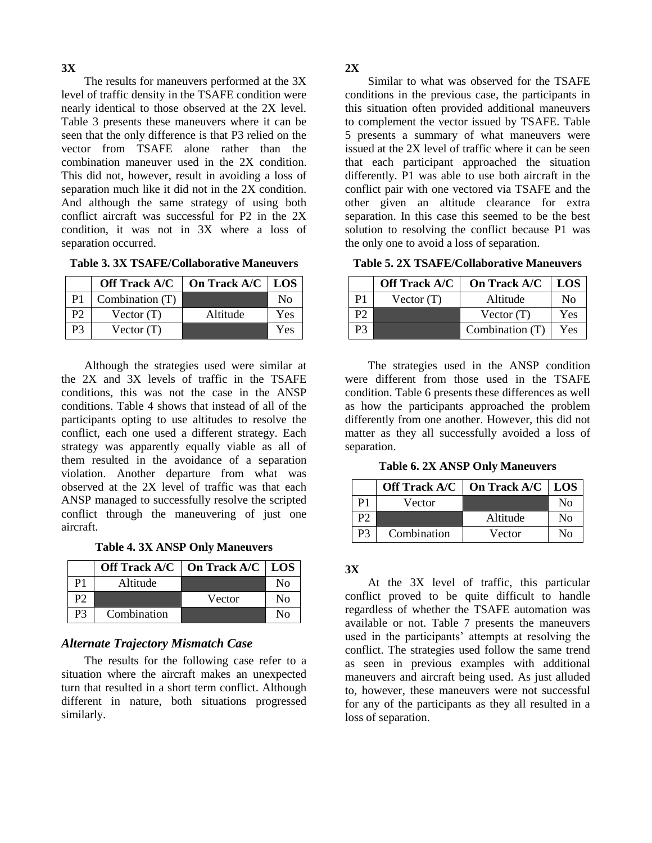#### **3X**

The results for maneuvers performed at the 3X level of traffic density in the TSAFE condition were nearly identical to those observed at the 2X level. Table 3 presents these maneuvers where it can be seen that the only difference is that P3 relied on the vector from TSAFE alone rather than the combination maneuver used in the 2X condition. This did not, however, result in avoiding a loss of separation much like it did not in the 2X condition. And although the same strategy of using both conflict aircraft was successful for P2 in the 2X condition, it was not in 3X where a loss of separation occurred.

**Table 3. 3X TSAFE/Collaborative Maneuvers**

|                | <b>Off Track A/C</b> | On Track A/C   LOS |     |
|----------------|----------------------|--------------------|-----|
| P <sub>1</sub> | Combination (T)      |                    | Nο  |
| P2             | Vector $(T)$         | Altitude           | Yes |
| P3             | Vector $(T)$         |                    | Yes |

Although the strategies used were similar at the 2X and 3X levels of traffic in the TSAFE conditions, this was not the case in the ANSP conditions. Table 4 shows that instead of all of the participants opting to use altitudes to resolve the conflict, each one used a different strategy. Each strategy was apparently equally viable as all of them resulted in the avoidance of a separation violation. Another departure from what was observed at the 2X level of traffic was that each ANSP managed to successfully resolve the scripted conflict through the maneuvering of just one aircraft.

**Table 4. 3X ANSP Only Maneuvers**

|    |             | Off Track $A/C$   On Track $A/C$   LOS |    |
|----|-------------|----------------------------------------|----|
| P1 | Altitude    |                                        | Nο |
| P2 |             | Vector                                 | Nο |
| P3 | Combination |                                        | N٥ |

### *Alternate Trajectory Mismatch Case*

The results for the following case refer to a situation where the aircraft makes an unexpected turn that resulted in a short term conflict. Although different in nature, both situations progressed similarly.

#### **2X**

Similar to what was observed for the TSAFE conditions in the previous case, the participants in this situation often provided additional maneuvers to complement the vector issued by TSAFE. Table 5 presents a summary of what maneuvers were issued at the 2X level of traffic where it can be seen that each participant approached the situation differently. P1 was able to use both aircraft in the conflict pair with one vectored via TSAFE and the other given an altitude clearance for extra separation. In this case this seemed to be the best solution to resolving the conflict because P1 was the only one to avoid a loss of separation.

**Table 5. 2X TSAFE/Collaborative Maneuvers** 

|                | <b>Off Track A/C</b> | On Track A/C    | <b>LOS</b> |
|----------------|----------------------|-----------------|------------|
| P <sub>1</sub> | Vector $(T)$         | Altitude        | No         |
| P2             |                      | Vector $(T)$    | Yes        |
|                |                      | Combination (T) | Yes        |

The strategies used in the ANSP condition were different from those used in the TSAFE condition. Table 6 presents these differences as well as how the participants approached the problem differently from one another. However, this did not matter as they all successfully avoided a loss of separation.

**Table 6. 2X ANSP Only Maneuvers**

|    |             | Off Track $A/C$   On Track $A/C$ | <b>LOS</b>     |
|----|-------------|----------------------------------|----------------|
| P1 | Vector      |                                  | N <sub>0</sub> |
| Pγ |             | Altitude                         | Nο             |
| P3 | Combination | Vector                           | Nο             |

#### **3X**

At the 3X level of traffic, this particular conflict proved to be quite difficult to handle regardless of whether the TSAFE automation was available or not. Table 7 presents the maneuvers used in the participants' attempts at resolving the conflict. The strategies used follow the same trend as seen in previous examples with additional maneuvers and aircraft being used. As just alluded to, however, these maneuvers were not successful for any of the participants as they all resulted in a loss of separation.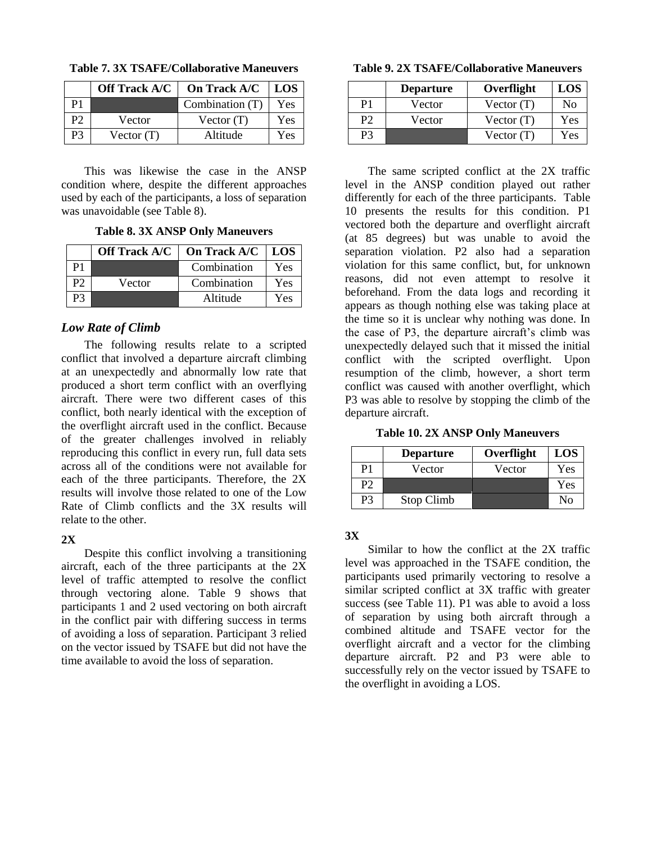|    | <b>Off Track A/C</b> | On Track A/C    | <b>LOS</b> |
|----|----------------------|-----------------|------------|
| P1 |                      | Combination (T) | Yes        |
| P2 | Vector               | Vector $(T)$    | Yes        |
| P3 | Vector $(T)$         | Altitude        | Yes        |

**Table 7. 3X TSAFE/Collaborative Maneuvers**

This was likewise the case in the ANSP condition where, despite the different approaches used by each of the participants, a loss of separation was unavoidable (see Table 8).

**Table 8. 3X ANSP Only Maneuvers**

|    | <b>Off Track A/C</b> | <b>On Track A/C</b> | LOS. |
|----|----------------------|---------------------|------|
| P1 |                      | Combination         | Yes  |
| Pγ | Vector               | Combination         | Yes  |
| PЗ |                      | Altitude            | Yes  |

### *Low Rate of Climb*

The following results relate to a scripted conflict that involved a departure aircraft climbing at an unexpectedly and abnormally low rate that produced a short term conflict with an overflying aircraft. There were two different cases of this conflict, both nearly identical with the exception of the overflight aircraft used in the conflict. Because of the greater challenges involved in reliably reproducing this conflict in every run, full data sets across all of the conditions were not available for each of the three participants. Therefore, the 2X results will involve those related to one of the Low Rate of Climb conflicts and the 3X results will relate to the other.

#### **2X**

Despite this conflict involving a transitioning aircraft, each of the three participants at the 2X level of traffic attempted to resolve the conflict through vectoring alone. Table 9 shows that participants 1 and 2 used vectoring on both aircraft in the conflict pair with differing success in terms of avoiding a loss of separation. Participant 3 relied on the vector issued by TSAFE but did not have the time available to avoid the loss of separation.

**Table 9. 2X TSAFE/Collaborative Maneuvers**

|                | <b>Departure</b> | Overflight   | <b>LOS</b> |
|----------------|------------------|--------------|------------|
| P <sub>1</sub> | Vector           | Vector $(T)$ | Nο         |
| P <sub>2</sub> | Vector           | Vector $(T)$ | Yes        |
| P3             |                  | Vector $(T)$ | Yes        |

The same scripted conflict at the 2X traffic level in the ANSP condition played out rather differently for each of the three participants. Table 10 presents the results for this condition. P1 vectored both the departure and overflight aircraft (at 85 degrees) but was unable to avoid the separation violation. P2 also had a separation violation for this same conflict, but, for unknown reasons, did not even attempt to resolve it beforehand. From the data logs and recording it appears as though nothing else was taking place at the time so it is unclear why nothing was done. In the case of P3, the departure aircraft's climb was unexpectedly delayed such that it missed the initial conflict with the scripted overflight. Upon resumption of the climb, however, a short term conflict was caused with another overflight, which P3 was able to resolve by stopping the climb of the departure aircraft.

**Table 10. 2X ANSP Only Maneuvers**

|                | <b>Departure</b> | Overflight | LOS |
|----------------|------------------|------------|-----|
| P <sub>1</sub> | Vector           | Vector     | Yes |
| P2             |                  |            | Yes |
| P <sub>3</sub> | Stop Climb       |            | No  |

**3X**

Similar to how the conflict at the 2X traffic level was approached in the TSAFE condition, the participants used primarily vectoring to resolve a similar scripted conflict at 3X traffic with greater success (see Table 11). P1 was able to avoid a loss of separation by using both aircraft through a combined altitude and TSAFE vector for the overflight aircraft and a vector for the climbing departure aircraft. P2 and P3 were able to successfully rely on the vector issued by TSAFE to the overflight in avoiding a LOS.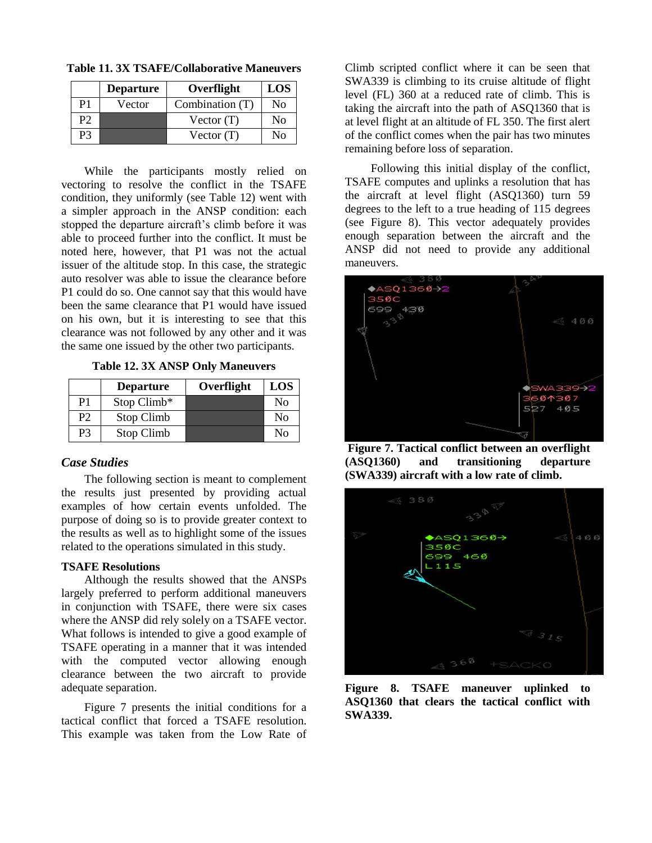|    | <b>Departure</b> | Overflight      | LOS |
|----|------------------|-----------------|-----|
| P1 | Vector           | Combination (T) | No  |
| P2 |                  | Vector $(T)$    | No  |
|    |                  | Vector $(T)$    | Nο  |

**Table 11. 3X TSAFE/Collaborative Maneuvers**

While the participants mostly relied on vectoring to resolve the conflict in the TSAFE condition, they uniformly (see Table 12) went with a simpler approach in the ANSP condition: each stopped the departure aircraft's climb before it was able to proceed further into the conflict. It must be noted here, however, that P1 was not the actual issuer of the altitude stop. In this case, the strategic auto resolver was able to issue the clearance before P1 could do so. One cannot say that this would have been the same clearance that P1 would have issued on his own, but it is interesting to see that this clearance was not followed by any other and it was the same one issued by the other two participants.

**Table 12. 3X ANSP Only Maneuvers**

|                | <b>Departure</b> | Overflight | <b>LOS</b> |
|----------------|------------------|------------|------------|
| P <sub>1</sub> | Stop Climb*      |            | No         |
| P <sub>2</sub> | Stop Climb       |            | No         |
| P3             | Stop Climb       |            | No         |

### *Case Studies*

The following section is meant to complement the results just presented by providing actual examples of how certain events unfolded. The purpose of doing so is to provide greater context to the results as well as to highlight some of the issues related to the operations simulated in this study.

#### **TSAFE Resolutions**

Although the results showed that the ANSPs largely preferred to perform additional maneuvers in conjunction with TSAFE, there were six cases where the ANSP did rely solely on a TSAFE vector. What follows is intended to give a good example of TSAFE operating in a manner that it was intended with the computed vector allowing enough clearance between the two aircraft to provide adequate separation.

Figure 7 presents the initial conditions for a tactical conflict that forced a TSAFE resolution. This example was taken from the Low Rate of

Climb scripted conflict where it can be seen that SWA339 is climbing to its cruise altitude of flight level (FL) 360 at a reduced rate of climb. This is taking the aircraft into the path of ASQ1360 that is at level flight at an altitude of FL 350. The first alert of the conflict comes when the pair has two minutes remaining before loss of separation.

Following this initial display of the conflict, TSAFE computes and uplinks a resolution that has the aircraft at level flight (ASQ1360) turn 59 degrees to the left to a true heading of 115 degrees (see Figure 8). This vector adequately provides enough separation between the aircraft and the ANSP did not need to provide any additional maneuvers.



**Figure 7. Tactical conflict between an overflight (ASQ1360) and transitioning departure (SWA339) aircraft with a low rate of climb.** 



**Figure 8. TSAFE maneuver uplinked to ASQ1360 that clears the tactical conflict with SWA339.**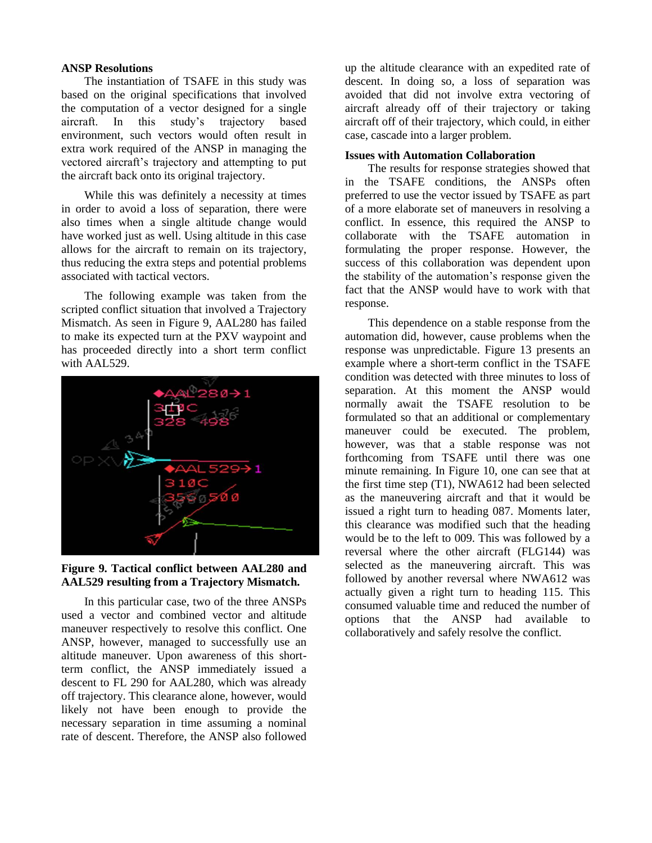#### **ANSP Resolutions**

The instantiation of TSAFE in this study was based on the original specifications that involved the computation of a vector designed for a single aircraft. In this study's trajectory based environment, such vectors would often result in extra work required of the ANSP in managing the vectored aircraft's trajectory and attempting to put the aircraft back onto its original trajectory.

While this was definitely a necessity at times in order to avoid a loss of separation, there were also times when a single altitude change would have worked just as well. Using altitude in this case allows for the aircraft to remain on its trajectory, thus reducing the extra steps and potential problems associated with tactical vectors.

The following example was taken from the scripted conflict situation that involved a Trajectory Mismatch. As seen in Figure 9, AAL280 has failed to make its expected turn at the PXV waypoint and has proceeded directly into a short term conflict with AAL529.



### **Figure 9. Tactical conflict between AAL280 and AAL529 resulting from a Trajectory Mismatch.**

In this particular case, two of the three ANSPs used a vector and combined vector and altitude maneuver respectively to resolve this conflict. One ANSP, however, managed to successfully use an altitude maneuver. Upon awareness of this shortterm conflict, the ANSP immediately issued a descent to FL 290 for AAL280, which was already off trajectory. This clearance alone, however, would likely not have been enough to provide the necessary separation in time assuming a nominal rate of descent. Therefore, the ANSP also followed

up the altitude clearance with an expedited rate of descent. In doing so, a loss of separation was avoided that did not involve extra vectoring of aircraft already off of their trajectory or taking aircraft off of their trajectory, which could, in either case, cascade into a larger problem.

### **Issues with Automation Collaboration**

The results for response strategies showed that in the TSAFE conditions, the ANSPs often preferred to use the vector issued by TSAFE as part of a more elaborate set of maneuvers in resolving a conflict. In essence, this required the ANSP to collaborate with the TSAFE automation in formulating the proper response. However, the success of this collaboration was dependent upon the stability of the automation's response given the fact that the ANSP would have to work with that response.

This dependence on a stable response from the automation did, however, cause problems when the response was unpredictable. Figure 13 presents an example where a short-term conflict in the TSAFE condition was detected with three minutes to loss of separation. At this moment the ANSP would normally await the TSAFE resolution to be formulated so that an additional or complementary maneuver could be executed. The problem, however, was that a stable response was not forthcoming from TSAFE until there was one minute remaining. In Figure 10, one can see that at the first time step (T1), NWA612 had been selected as the maneuvering aircraft and that it would be issued a right turn to heading 087. Moments later, this clearance was modified such that the heading would be to the left to 009. This was followed by a reversal where the other aircraft (FLG144) was selected as the maneuvering aircraft. This was followed by another reversal where NWA612 was actually given a right turn to heading 115. This consumed valuable time and reduced the number of options that the ANSP had available to collaboratively and safely resolve the conflict.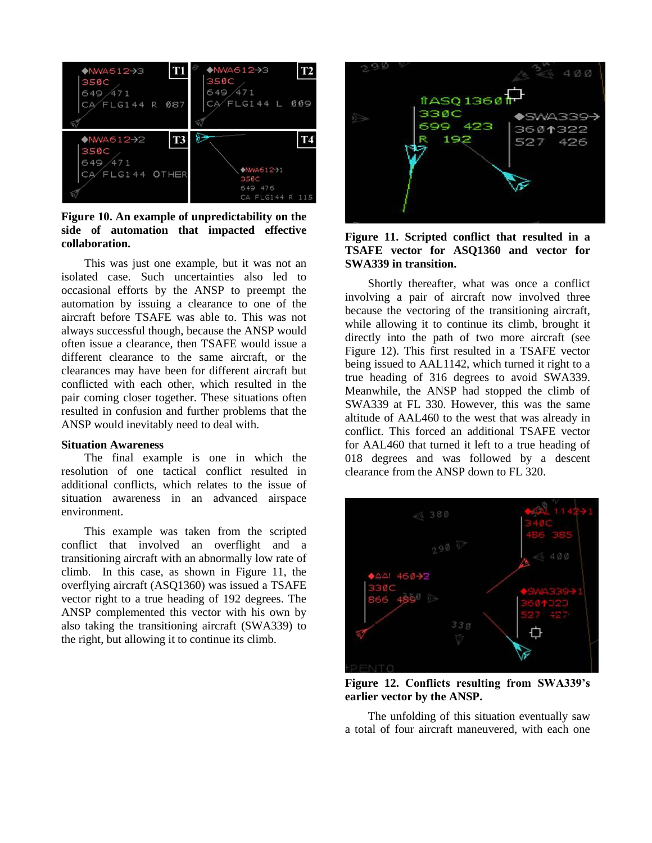

**Figure 10. An example of unpredictability on the side of automation that impacted effective collaboration.**

This was just one example, but it was not an isolated case. Such uncertainties also led to occasional efforts by the ANSP to preempt the automation by issuing a clearance to one of the aircraft before TSAFE was able to. This was not always successful though, because the ANSP would often issue a clearance, then TSAFE would issue a different clearance to the same aircraft, or the clearances may have been for different aircraft but conflicted with each other, which resulted in the pair coming closer together. These situations often resulted in confusion and further problems that the ANSP would inevitably need to deal with.

#### **Situation Awareness**

The final example is one in which the resolution of one tactical conflict resulted in additional conflicts, which relates to the issue of situation awareness in an advanced airspace environment.

This example was taken from the scripted conflict that involved an overflight and a transitioning aircraft with an abnormally low rate of climb. In this case, as shown in Figure 11, the overflying aircraft (ASQ1360) was issued a TSAFE vector right to a true heading of 192 degrees. The ANSP complemented this vector with his own by also taking the transitioning aircraft (SWA339) to the right, but allowing it to continue its climb.



**Figure 11. Scripted conflict that resulted in a TSAFE vector for ASQ1360 and vector for SWA339 in transition.**

Shortly thereafter, what was once a conflict involving a pair of aircraft now involved three because the vectoring of the transitioning aircraft, while allowing it to continue its climb, brought it directly into the path of two more aircraft (see Figure 12). This first resulted in a TSAFE vector being issued to AAL1142, which turned it right to a true heading of 316 degrees to avoid SWA339. Meanwhile, the ANSP had stopped the climb of SWA339 at FL 330. However, this was the same altitude of AAL460 to the west that was already in conflict. This forced an additional TSAFE vector for AAL460 that turned it left to a true heading of 018 degrees and was followed by a descent clearance from the ANSP down to FL 320.



**Figure 12. Conflicts resulting from SWA339's earlier vector by the ANSP.**

The unfolding of this situation eventually saw a total of four aircraft maneuvered, with each one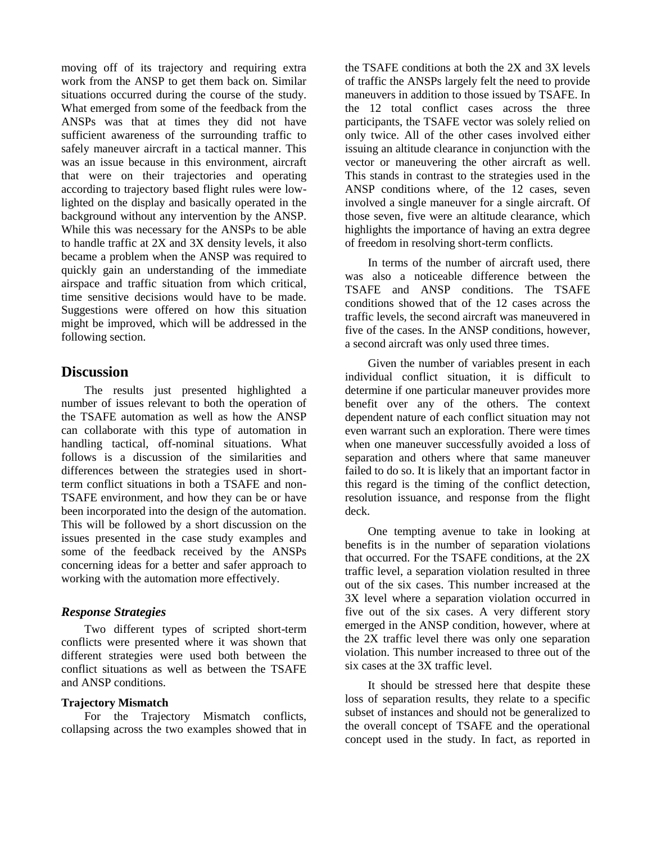moving off of its trajectory and requiring extra work from the ANSP to get them back on. Similar situations occurred during the course of the study. What emerged from some of the feedback from the ANSPs was that at times they did not have sufficient awareness of the surrounding traffic to safely maneuver aircraft in a tactical manner. This was an issue because in this environment, aircraft that were on their trajectories and operating according to trajectory based flight rules were lowlighted on the display and basically operated in the background without any intervention by the ANSP. While this was necessary for the ANSPs to be able to handle traffic at 2X and 3X density levels, it also became a problem when the ANSP was required to quickly gain an understanding of the immediate airspace and traffic situation from which critical, time sensitive decisions would have to be made. Suggestions were offered on how this situation might be improved, which will be addressed in the following section.

### **Discussion**

The results just presented highlighted a number of issues relevant to both the operation of the TSAFE automation as well as how the ANSP can collaborate with this type of automation in handling tactical, off-nominal situations. What follows is a discussion of the similarities and differences between the strategies used in shortterm conflict situations in both a TSAFE and non-TSAFE environment, and how they can be or have been incorporated into the design of the automation. This will be followed by a short discussion on the issues presented in the case study examples and some of the feedback received by the ANSPs concerning ideas for a better and safer approach to working with the automation more effectively.

### *Response Strategies*

Two different types of scripted short-term conflicts were presented where it was shown that different strategies were used both between the conflict situations as well as between the TSAFE and ANSP conditions.

#### **Trajectory Mismatch**

For the Trajectory Mismatch conflicts, collapsing across the two examples showed that in the TSAFE conditions at both the 2X and 3X levels of traffic the ANSPs largely felt the need to provide maneuvers in addition to those issued by TSAFE. In the 12 total conflict cases across the three participants, the TSAFE vector was solely relied on only twice. All of the other cases involved either issuing an altitude clearance in conjunction with the vector or maneuvering the other aircraft as well. This stands in contrast to the strategies used in the ANSP conditions where, of the 12 cases, seven involved a single maneuver for a single aircraft. Of those seven, five were an altitude clearance, which highlights the importance of having an extra degree of freedom in resolving short-term conflicts.

In terms of the number of aircraft used, there was also a noticeable difference between the TSAFE and ANSP conditions. The TSAFE conditions showed that of the 12 cases across the traffic levels, the second aircraft was maneuvered in five of the cases. In the ANSP conditions, however, a second aircraft was only used three times.

Given the number of variables present in each individual conflict situation, it is difficult to determine if one particular maneuver provides more benefit over any of the others. The context dependent nature of each conflict situation may not even warrant such an exploration. There were times when one maneuver successfully avoided a loss of separation and others where that same maneuver failed to do so. It is likely that an important factor in this regard is the timing of the conflict detection, resolution issuance, and response from the flight deck.

One tempting avenue to take in looking at benefits is in the number of separation violations that occurred. For the TSAFE conditions, at the 2X traffic level, a separation violation resulted in three out of the six cases. This number increased at the 3X level where a separation violation occurred in five out of the six cases. A very different story emerged in the ANSP condition, however, where at the 2X traffic level there was only one separation violation. This number increased to three out of the six cases at the 3X traffic level.

It should be stressed here that despite these loss of separation results, they relate to a specific subset of instances and should not be generalized to the overall concept of TSAFE and the operational concept used in the study. In fact, as reported in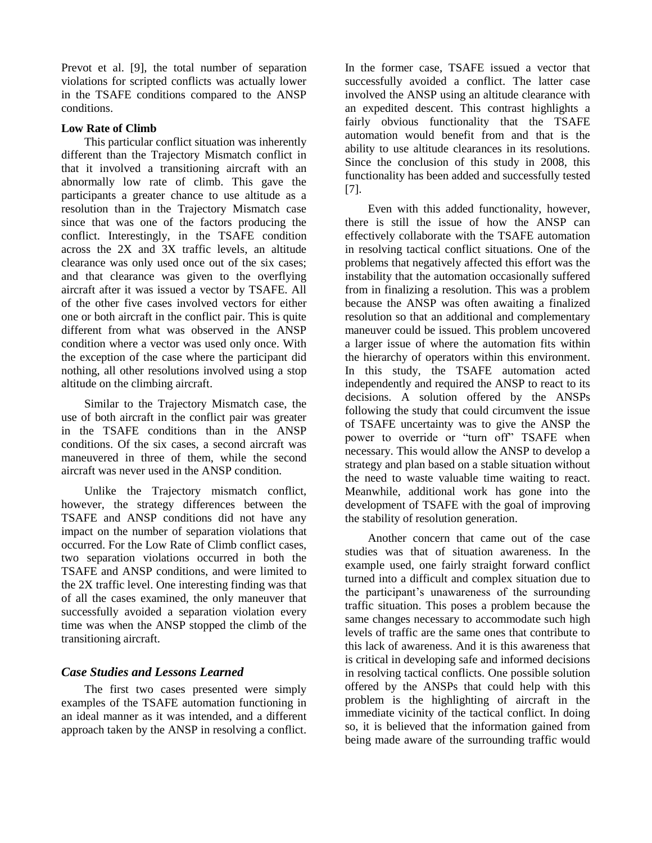Prevot et al. [9], the total number of separation violations for scripted conflicts was actually lower in the TSAFE conditions compared to the ANSP conditions.

### **Low Rate of Climb**

This particular conflict situation was inherently different than the Trajectory Mismatch conflict in that it involved a transitioning aircraft with an abnormally low rate of climb. This gave the participants a greater chance to use altitude as a resolution than in the Trajectory Mismatch case since that was one of the factors producing the conflict. Interestingly, in the TSAFE condition across the 2X and 3X traffic levels, an altitude clearance was only used once out of the six cases; and that clearance was given to the overflying aircraft after it was issued a vector by TSAFE. All of the other five cases involved vectors for either one or both aircraft in the conflict pair. This is quite different from what was observed in the ANSP condition where a vector was used only once. With the exception of the case where the participant did nothing, all other resolutions involved using a stop altitude on the climbing aircraft.

Similar to the Trajectory Mismatch case, the use of both aircraft in the conflict pair was greater in the TSAFE conditions than in the ANSP conditions. Of the six cases, a second aircraft was maneuvered in three of them, while the second aircraft was never used in the ANSP condition.

Unlike the Trajectory mismatch conflict, however, the strategy differences between the TSAFE and ANSP conditions did not have any impact on the number of separation violations that occurred. For the Low Rate of Climb conflict cases, two separation violations occurred in both the TSAFE and ANSP conditions, and were limited to the 2X traffic level. One interesting finding was that of all the cases examined, the only maneuver that successfully avoided a separation violation every time was when the ANSP stopped the climb of the transitioning aircraft.

### *Case Studies and Lessons Learned*

The first two cases presented were simply examples of the TSAFE automation functioning in an ideal manner as it was intended, and a different approach taken by the ANSP in resolving a conflict. In the former case, TSAFE issued a vector that successfully avoided a conflict. The latter case involved the ANSP using an altitude clearance with an expedited descent. This contrast highlights a fairly obvious functionality that the TSAFE automation would benefit from and that is the ability to use altitude clearances in its resolutions. Since the conclusion of this study in 2008, this functionality has been added and successfully tested [7].

Even with this added functionality, however, there is still the issue of how the ANSP can effectively collaborate with the TSAFE automation in resolving tactical conflict situations. One of the problems that negatively affected this effort was the instability that the automation occasionally suffered from in finalizing a resolution. This was a problem because the ANSP was often awaiting a finalized resolution so that an additional and complementary maneuver could be issued. This problem uncovered a larger issue of where the automation fits within the hierarchy of operators within this environment. In this study, the TSAFE automation acted independently and required the ANSP to react to its decisions. A solution offered by the ANSPs following the study that could circumvent the issue of TSAFE uncertainty was to give the ANSP the power to override or "turn off" TSAFE when necessary. This would allow the ANSP to develop a strategy and plan based on a stable situation without the need to waste valuable time waiting to react. Meanwhile, additional work has gone into the development of TSAFE with the goal of improving the stability of resolution generation.

Another concern that came out of the case studies was that of situation awareness. In the example used, one fairly straight forward conflict turned into a difficult and complex situation due to the participant's unawareness of the surrounding traffic situation. This poses a problem because the same changes necessary to accommodate such high levels of traffic are the same ones that contribute to this lack of awareness. And it is this awareness that is critical in developing safe and informed decisions in resolving tactical conflicts. One possible solution offered by the ANSPs that could help with this problem is the highlighting of aircraft in the immediate vicinity of the tactical conflict. In doing so, it is believed that the information gained from being made aware of the surrounding traffic would